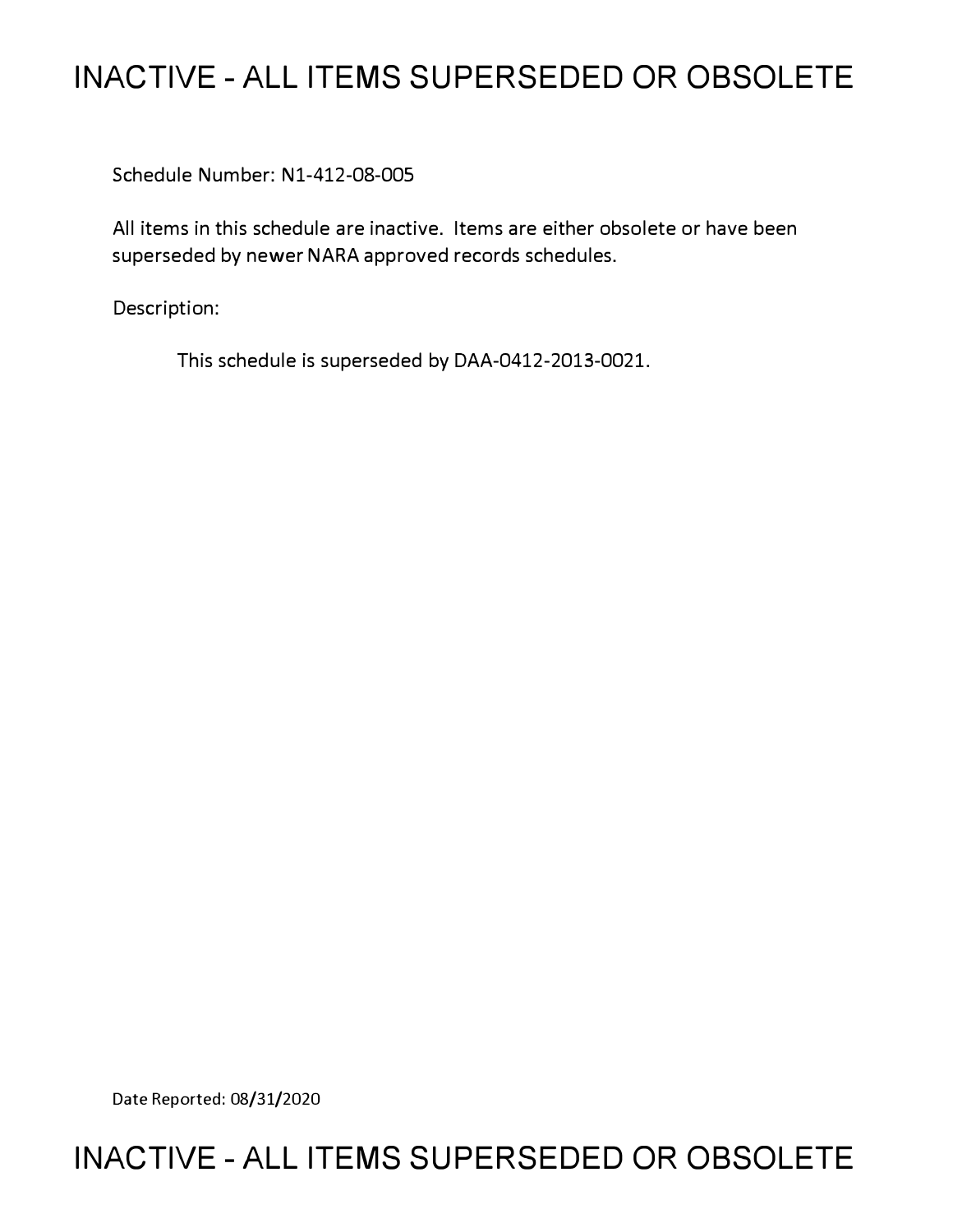# **INACTIVE - ALL ITEMS SUPERSEDED OR OBSOLETE**

Schedule Number: Nl-412-08-005

All items in this schedule are inactive. Items are either obsolete or have been superseded by newer NARA approved records schedules.

Description:

This schedule is superseded by DAA-0412-2013-0021.

Date Reported: 08/31/2020

## **INACTIVE - ALL ITEMS SUPERSEDED OR OBSOLETE**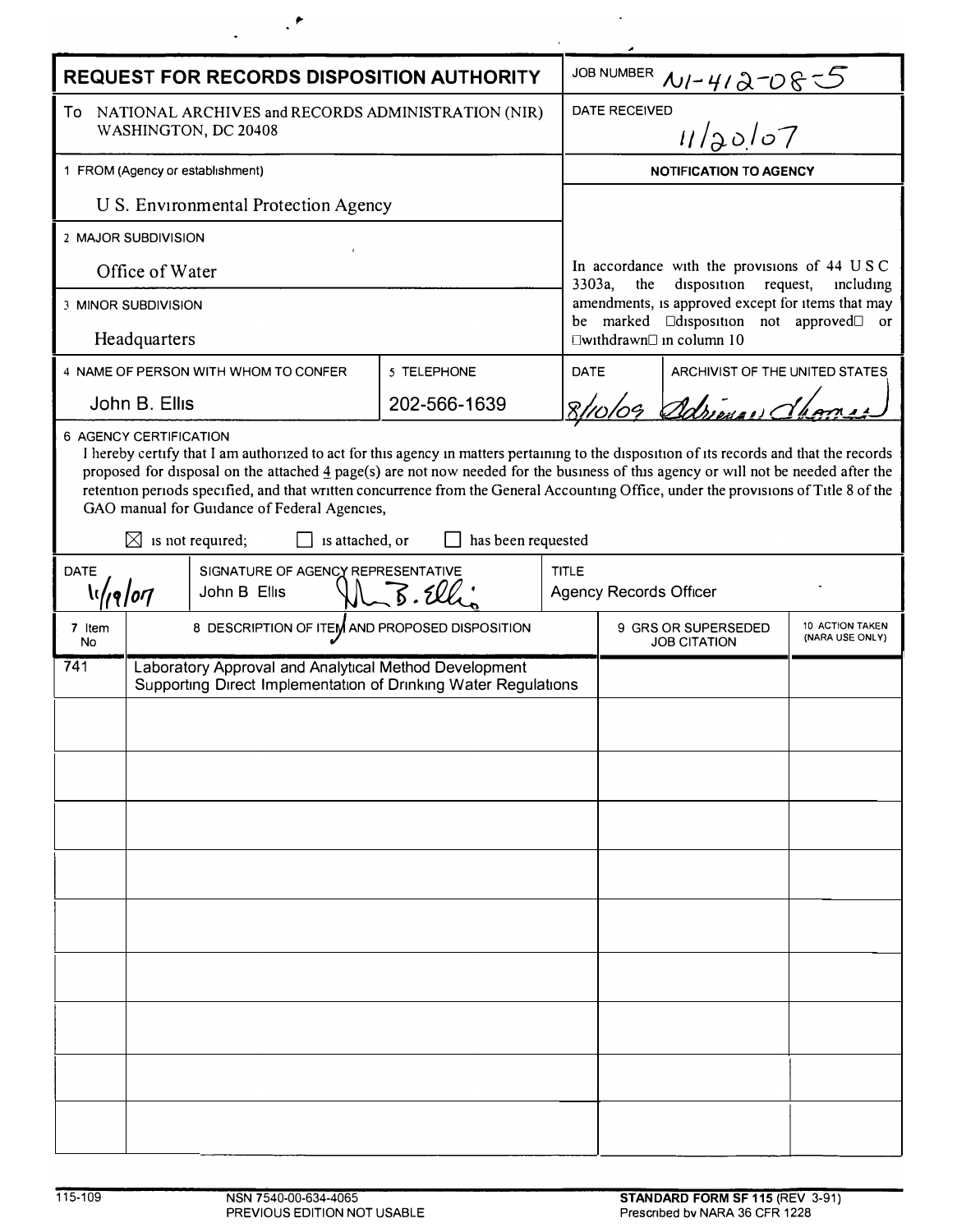| <b>REQUEST FOR RECORDS DISPOSITION AUTHORITY</b>                                                                                                                                                                                                                                                                                                                                                                                                                                                                                                             |                                                                                                                         |                                                |              |                               | JOB NUMBER $N1 - 412 - 0855$                                                                                                                                                                                                   |                                |                                    |  |
|--------------------------------------------------------------------------------------------------------------------------------------------------------------------------------------------------------------------------------------------------------------------------------------------------------------------------------------------------------------------------------------------------------------------------------------------------------------------------------------------------------------------------------------------------------------|-------------------------------------------------------------------------------------------------------------------------|------------------------------------------------|--------------|-------------------------------|--------------------------------------------------------------------------------------------------------------------------------------------------------------------------------------------------------------------------------|--------------------------------|------------------------------------|--|
| To<br>NATIONAL ARCHIVES and RECORDS ADMINISTRATION (NIR)<br>WASHINGTON, DC 20408                                                                                                                                                                                                                                                                                                                                                                                                                                                                             |                                                                                                                         |                                                |              |                               | 11/20/07<br>DATE RECEIVED                                                                                                                                                                                                      |                                |                                    |  |
| 1 FROM (Agency or establishment)                                                                                                                                                                                                                                                                                                                                                                                                                                                                                                                             |                                                                                                                         |                                                |              |                               | <b>NOTIFICATION TO AGENCY</b>                                                                                                                                                                                                  |                                |                                    |  |
| U S. Environmental Protection Agency                                                                                                                                                                                                                                                                                                                                                                                                                                                                                                                         |                                                                                                                         |                                                |              |                               |                                                                                                                                                                                                                                |                                |                                    |  |
| 2 MAJOR SUBDIVISION                                                                                                                                                                                                                                                                                                                                                                                                                                                                                                                                          |                                                                                                                         |                                                |              |                               |                                                                                                                                                                                                                                |                                |                                    |  |
| Office of Water                                                                                                                                                                                                                                                                                                                                                                                                                                                                                                                                              |                                                                                                                         |                                                |              |                               | In accordance with the provisions of 44 USC<br>disposition request,<br>3303a,<br>the<br>including<br>amendments, is approved except for items that may<br>be marked <b>Clasposition</b> not approved<br>$\overline{\text{or}}$ |                                |                                    |  |
| 3 MINOR SUBDIVISION                                                                                                                                                                                                                                                                                                                                                                                                                                                                                                                                          |                                                                                                                         |                                                |              |                               |                                                                                                                                                                                                                                |                                |                                    |  |
| Headquarters                                                                                                                                                                                                                                                                                                                                                                                                                                                                                                                                                 |                                                                                                                         |                                                |              |                               | □withdrawn□ in column 10                                                                                                                                                                                                       |                                |                                    |  |
| 4 NAME OF PERSON WITH WHOM TO CONFER                                                                                                                                                                                                                                                                                                                                                                                                                                                                                                                         |                                                                                                                         |                                                | 5 TELEPHONE  | <b>DATE</b>                   |                                                                                                                                                                                                                                | ARCHIVIST OF THE UNITED STATES |                                    |  |
| John B. Ellis                                                                                                                                                                                                                                                                                                                                                                                                                                                                                                                                                |                                                                                                                         |                                                | 202-566-1639 |                               | 8/10/09 Adriana dhoma                                                                                                                                                                                                          |                                |                                    |  |
| I hereby certify that I am authorized to act for this agency in matters pertaining to the disposition of its records and that the records<br>proposed for disposal on the attached $\frac{4}{3}$ page(s) are not now needed for the business of this agency or will not be needed after the<br>retention periods specified, and that written concurrence from the General Accounting Office, under the provisions of Title 8 of the<br>GAO manual for Guidance of Federal Agencies,<br>$\boxtimes$ is not required;<br>is attached, or<br>has been requested |                                                                                                                         |                                                |              |                               |                                                                                                                                                                                                                                |                                |                                    |  |
| SIGNATURE OF AGENCY REPRESENTATIVE<br><b>DATE</b><br><b>\</b> \/ <sub>/9</sub> /07<br>John B Ellis                                                                                                                                                                                                                                                                                                                                                                                                                                                           |                                                                                                                         |                                                | <b>TITLE</b> | <b>Agency Records Officer</b> |                                                                                                                                                                                                                                |                                |                                    |  |
| 7 Item<br><b>No</b>                                                                                                                                                                                                                                                                                                                                                                                                                                                                                                                                          |                                                                                                                         | 8 DESCRIPTION OF ITEM AND PROPOSED DISPOSITION |              |                               | 9 GRS OR SUPERSEDED<br><b>JOB CITATION</b>                                                                                                                                                                                     |                                | 10 ACTION TAKEN<br>(NARA USE ONLY) |  |
| 741                                                                                                                                                                                                                                                                                                                                                                                                                                                                                                                                                          | Laboratory Approval and Analytical Method Development<br>Supporting Direct Implementation of Drinking Water Regulations |                                                |              |                               |                                                                                                                                                                                                                                |                                |                                    |  |
|                                                                                                                                                                                                                                                                                                                                                                                                                                                                                                                                                              |                                                                                                                         |                                                |              |                               |                                                                                                                                                                                                                                |                                |                                    |  |
|                                                                                                                                                                                                                                                                                                                                                                                                                                                                                                                                                              |                                                                                                                         |                                                |              |                               |                                                                                                                                                                                                                                |                                |                                    |  |
|                                                                                                                                                                                                                                                                                                                                                                                                                                                                                                                                                              |                                                                                                                         |                                                |              |                               |                                                                                                                                                                                                                                |                                |                                    |  |
|                                                                                                                                                                                                                                                                                                                                                                                                                                                                                                                                                              |                                                                                                                         |                                                |              |                               |                                                                                                                                                                                                                                |                                |                                    |  |
|                                                                                                                                                                                                                                                                                                                                                                                                                                                                                                                                                              |                                                                                                                         |                                                |              |                               |                                                                                                                                                                                                                                |                                |                                    |  |
|                                                                                                                                                                                                                                                                                                                                                                                                                                                                                                                                                              |                                                                                                                         |                                                |              |                               |                                                                                                                                                                                                                                |                                |                                    |  |
|                                                                                                                                                                                                                                                                                                                                                                                                                                                                                                                                                              |                                                                                                                         |                                                |              |                               |                                                                                                                                                                                                                                |                                |                                    |  |
|                                                                                                                                                                                                                                                                                                                                                                                                                                                                                                                                                              |                                                                                                                         |                                                |              |                               |                                                                                                                                                                                                                                |                                |                                    |  |
|                                                                                                                                                                                                                                                                                                                                                                                                                                                                                                                                                              |                                                                                                                         |                                                |              |                               |                                                                                                                                                                                                                                |                                |                                    |  |
|                                                                                                                                                                                                                                                                                                                                                                                                                                                                                                                                                              |                                                                                                                         |                                                |              |                               |                                                                                                                                                                                                                                |                                |                                    |  |
|                                                                                                                                                                                                                                                                                                                                                                                                                                                                                                                                                              |                                                                                                                         |                                                |              |                               |                                                                                                                                                                                                                                |                                |                                    |  |
|                                                                                                                                                                                                                                                                                                                                                                                                                                                                                                                                                              |                                                                                                                         |                                                |              |                               |                                                                                                                                                                                                                                |                                |                                    |  |
|                                                                                                                                                                                                                                                                                                                                                                                                                                                                                                                                                              |                                                                                                                         |                                                |              |                               |                                                                                                                                                                                                                                |                                |                                    |  |

 $\sim 10^7$ 

 $\mathcal{L}^{\text{max}}$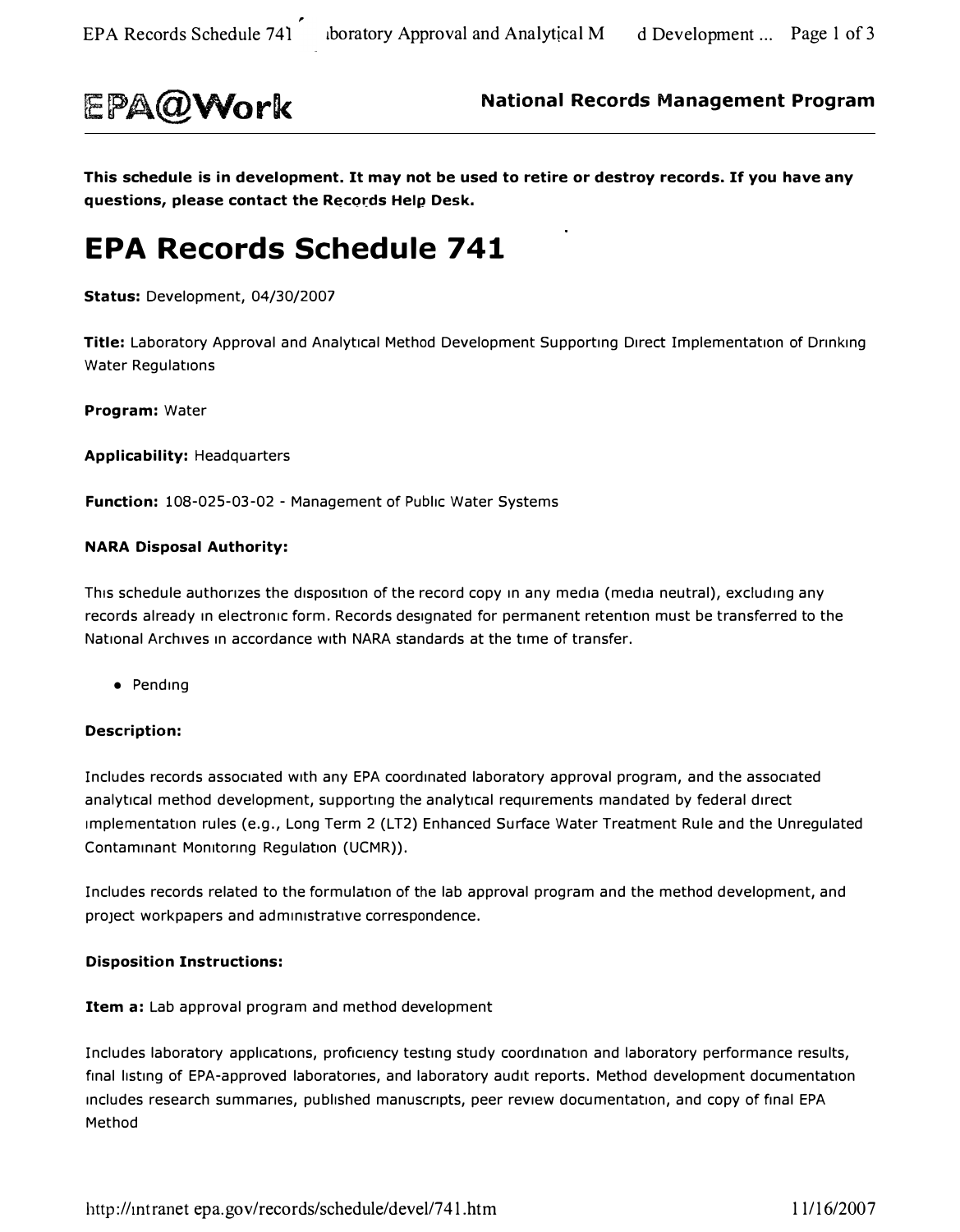

**EPA@Work National Records Management Program** 

**This schedule is in development. It may not be used to retire or destroy records. If you have any**  questions, please contact the Records Help Desk.

### **EPA Records Schedule 741**

**Status:** Development, 04/30/2007

**Title:** Laboratory Approval and Analytical Method Development Supporting Direct Implementation of Drinking Water Regulations

**Program:** Water

**Applicability:** Headquarters

**Function:** 108-025-03-02 - Management of Public Water Systems

#### **NARA Disposal Authority:**

This schedule authorizes the disposition of the record copy in any media (media neutral), excluding any records already in electronic form. Records designated for permanent retention must be transferred to the National Archives in accordance with NARA standards at the time of transfer.

• Pending

#### **Description:**

Includes records associated with any EPA coordinated laboratory approval program, and the associated analytical method development, supporting the analytical requirements mandated by federal direct Implementation rules (e.g., Long Term 2 (LT2) Enhanced Surface Water Treatment Rule and the Unregulated Contaminant Monitoring Regulation (UCMR)).

Includes records related to the formulation of the lab approval program and the method development, and project workpapers and administrative correspondence.

#### **Disposition Instructions:**

**Item a:** Lab approval program and method development

Includes laboratory applications, proficiency testing study coordination and laboratory performance results, final listing of EPA-approved laboratories, and laboratory audit reports. Method development documentation includes research summaries, published manuscripts, peer review documentation, and copy of final EPA Method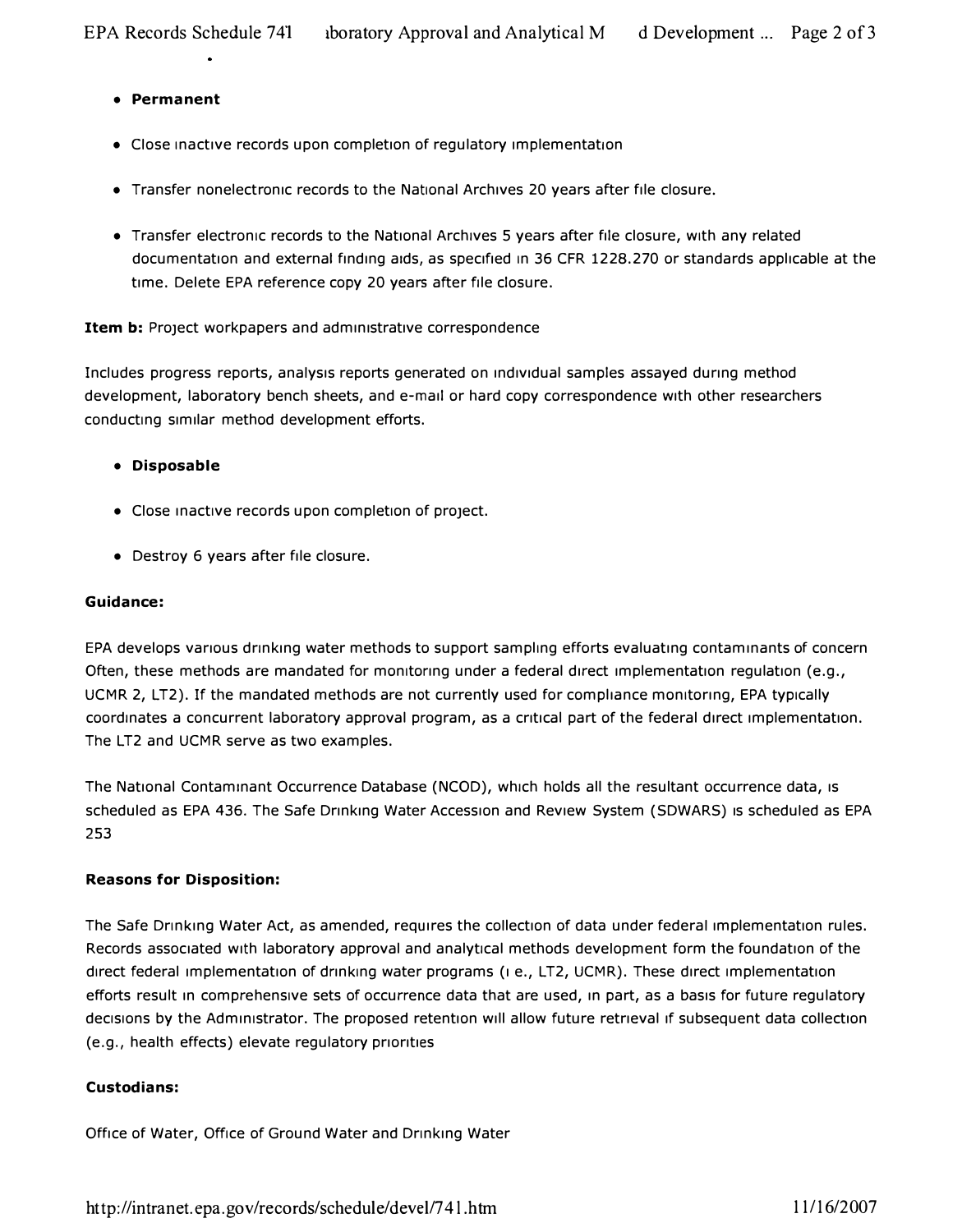#### **• Permanent**

- **Close inactive records upon completion of regulatory implementation**
- **Transfer nonelectronic records to the National Archives 20 years after file closure.**
- **Transfer electronic records to the National Archives 5 years after file closure, with any related**  documentation and external finding aids, as specified in 36 CFR 1228.270 or standards applicable at the **time. Delete EPA reference copy 20 years after file closure.**

#### **Item b:** Project workpapers and administrative correspondence

Includes progress reports, analysis reports generated on individual samples assayed during method **development, laboratory bench sheets, and e-mail or hard copy correspondence with other researchers**  conducting similar method development efforts.

#### **• Disposable**

- Close inactive records upon completion of project.
- **Destroy 6 years after file closure.**

#### **Guidance:**

**EPA develops various drinking water methods to support sampling efforts evaluating contaminants of concern**  Often, these methods are mandated for monitoring under a federal direct implementation regulation (e.g., **UCMR 2, LT2). If the mandated methods are not currently used for compliance monitoring, EPA typically**  coordinates a concurrent laboratory approval program, as a critical part of the federal direct implementation. **The LT2 and UCMR serve as two examples.** 

**The National Contaminant Occurrence Database (NCOD), which holds all the resultant occurrence data, 1s scheduled as EPA 436. The Safe Drinking Water Accession and Review System (SDWARS) 1s scheduled as EPA**  253

#### **Reasons for Disposition:**

The Safe Drinking Water Act, as amended, requires the collection of data under federal implementation rules. **Records associated with laboratory approval and analytical methods development form the foundation of the**  direct federal implementation of drinking water programs ( $\mu$  e., LT2, UCMR). These direct implementation **efforts result in comprehensive sets of occurrence data that are used, in part, as a basis for future regulatory dec1s1ons by the Administrator. The proposed retention will allow future retrieval 1f subsequent data collection (e.g., health effects) elevate regulatory priorities** 

#### **Custodians:**

**Office of Water, Office of Ground Water and Drinking Water** 

http://intranet.epa.gov/records/schedule/devel/741.htm 11/16/2007